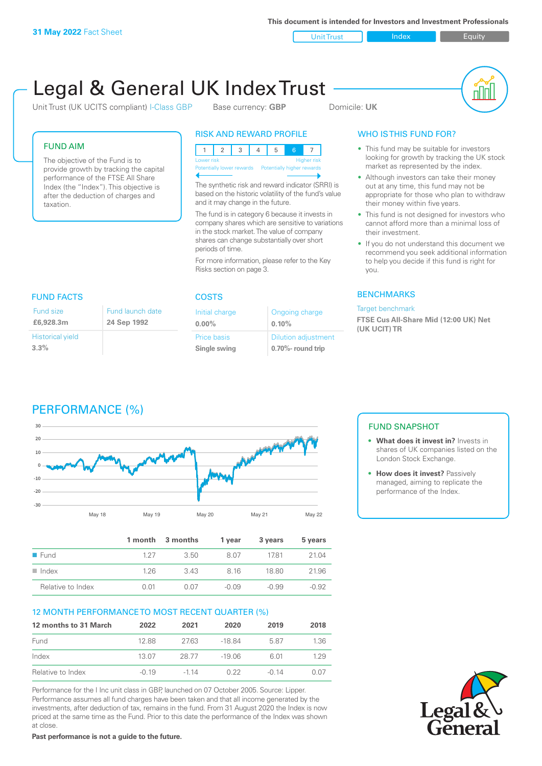Unit Trust Index **Index** Equity

# Legal & General UK Index Trust

Unit Trust (UK UCITS compliant) I-Class GBP Base currency: **GBP** Domicile: UK

nl M

#### FUND AIM

The objective of the Fund is to provide growth by tracking the capital performance of the FTSE All Share Index (the "Index"). This objective is after the deduction of charges and taxation.

#### RISK AND REWARD PROFILE

|                           | <b>Higher risk</b><br>Lower risk |  |  |  |  |                            |  |
|---------------------------|----------------------------------|--|--|--|--|----------------------------|--|
| Potentially lower rewards |                                  |  |  |  |  | Potentially higher rewards |  |
|                           |                                  |  |  |  |  |                            |  |

The synthetic risk and reward indicator (SRRI) is based on the historic volatility of the fund's value and it may change in the future.

The fund is in category 6 because it invests in company shares which are sensitive to variations in the stock market. The value of company shares can change substantially over short periods of time.

For more information, please refer to the Key Risks section on page 3.

| <b>FUND FACTS</b>                  |                                 |  |  |  |
|------------------------------------|---------------------------------|--|--|--|
| Fund size<br>£6,928,3m             | Fund launch date<br>24 Sep 1992 |  |  |  |
| <b>Historical yield</b><br>$3.3\%$ |                                 |  |  |  |

# COSTS

| Ongoing charge             |
|----------------------------|
| 0.10%                      |
| <b>Dilution adjustment</b> |
| 0.70%- round trip          |
|                            |

### WHO IS THIS FUND FOR?

- This fund may be suitable for investors looking for growth by tracking the UK stock market as represented by the index.
- Although investors can take their money out at any time, this fund may not be appropriate for those who plan to withdraw their money within five years.
- This fund is not designed for investors who cannot afford more than a minimal loss of their investment.
- If you do not understand this document we recommend you seek additional information to help you decide if this fund is right for you.

#### **BENCHMARKS**

#### Target benchmark

**FTSE Cus All-Share Mid (12:00 UK) Net (UK UCIT) TR**





|                      |      | 1 month 3 months | 1 year  | 3 years | 5 years |
|----------------------|------|------------------|---------|---------|---------|
| $\blacksquare$ Fund  | 127  | -3.50            | 807     | 1781    | 21.04   |
| $\blacksquare$ Index | 126  | 343              | 816     | 18.80   | 21.96   |
| Relative to Index    | O 01 | 0.07             | $-0.09$ | $-0.99$ | $-0.92$ |

#### 12 MONTH PERFORMANCE TO MOST RECENT QUARTER (%)

| 12 months to 31 March | 2022    | 2021   | 2020     | 2019    | 2018 |
|-----------------------|---------|--------|----------|---------|------|
| Fund                  | 1288    | 2763   | $-18.84$ | 587     | 1.36 |
| Index                 | 13.07   | 28.77  | $-19.06$ | 6.01    | 129  |
| Relative to Index     | $-0.19$ | $-114$ | O 22     | $-0.14$ | 0.OZ |

Performance for the I Inc unit class in GBP, launched on 07 October 2005. Source: Lipper. Performance assumes all fund charges have been taken and that all income generated by the investments, after deduction of tax, remains in the fund. From 31 August 2020 the Index is now priced at the same time as the Fund. Prior to this date the performance of the Index was shown at close.

**Past performance is not a guide to the future.**

#### FUND SNAPSHOT

- **• What does it invest in?** Invests in shares of UK companies listed on the London Stock Exchange.
- **• How does it invest?** Passively managed, aiming to replicate the performance of the Index.

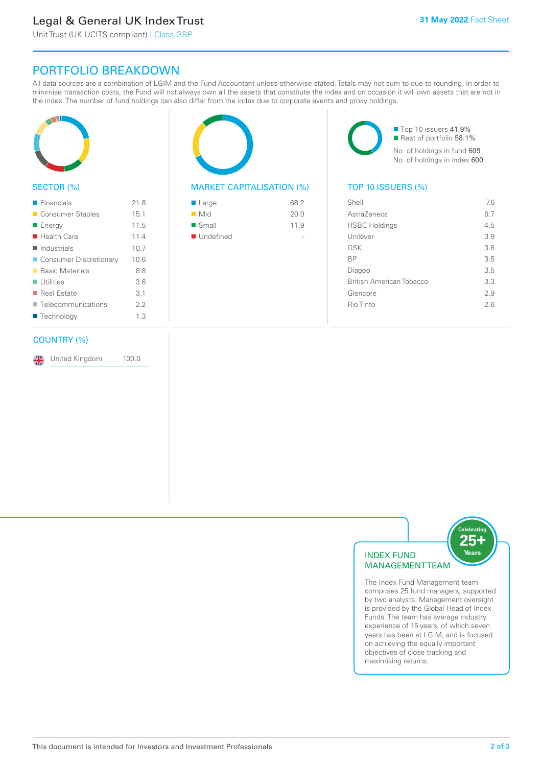# Legal & General UK Index Trust

Unit Trust (UK UCITS compliant) I-Class GBP

### PORTFOLIO BREAKDOWN

All data sources are a combination of LGIM and the Fund Accountant unless otherwise stated. Totals may not sum to due to rounding. In order to minimise transaction costs, the Fund will not always own all the assets that constitute the index and on occasion it will own assets that are not in the index. The number of fund holdings can also differ from the index due to corporate events and proxy holdings.



#### SECTOR (%)

| $\blacksquare$ Financials  | 21.8 |
|----------------------------|------|
| ■ Consumer Staples         | 15.1 |
| ■ Energy                   | 11.5 |
| $\blacksquare$ Health Care | 11.4 |
| $\blacksquare$ Industrials | 10.7 |
| ■ Consumer Discretionary   | 10.6 |
| ■ Basic Materials          | 8.8  |
| $\blacksquare$ Utilities   | 3.6  |
| ■ Real Estate              | 3.1  |
| Telecommunications         | 2.2  |
| ■ Technology               | 1.3  |
|                            |      |

#### COUNTRY (%)

United Kingdom 100.0

#### MARKET CAPITALISATION (%) TOP 10 ISSUERS (%)

| ■ Large                  | 68.2 |
|--------------------------|------|
| $\blacksquare$ Mid       | 20.0 |
| $\blacksquare$ Small     | 11.9 |
| $\blacksquare$ Undefined |      |
|                          |      |

■ Top 10 issuers 41.9% Rest of portfolio 58.1% No. of holdings in fund 609 No. of holdings in index 600

| Shell                           | 76  |
|---------------------------------|-----|
| AstraZeneca                     | 6.7 |
| <b>HSBC Holdings</b>            | 4.5 |
| Unilever                        | 3.9 |
| GSK                             | 3.6 |
| <b>BP</b>                       | 3.5 |
| Diageo                          | 3.5 |
| <b>British American Tobacco</b> | 3.3 |
| Glencore                        | 29  |
| Rio Tinto                       | 26  |
|                                 |     |



The Index Fund Management team comprises 25 fund managers, supported by two analysts. Management oversight is provided by the Global Head of Index Funds. The team has average industry experience of 15 years, of which seven years has been at LGIM, and is focused on achieving the equally important objectives of close tracking and maximising returns.